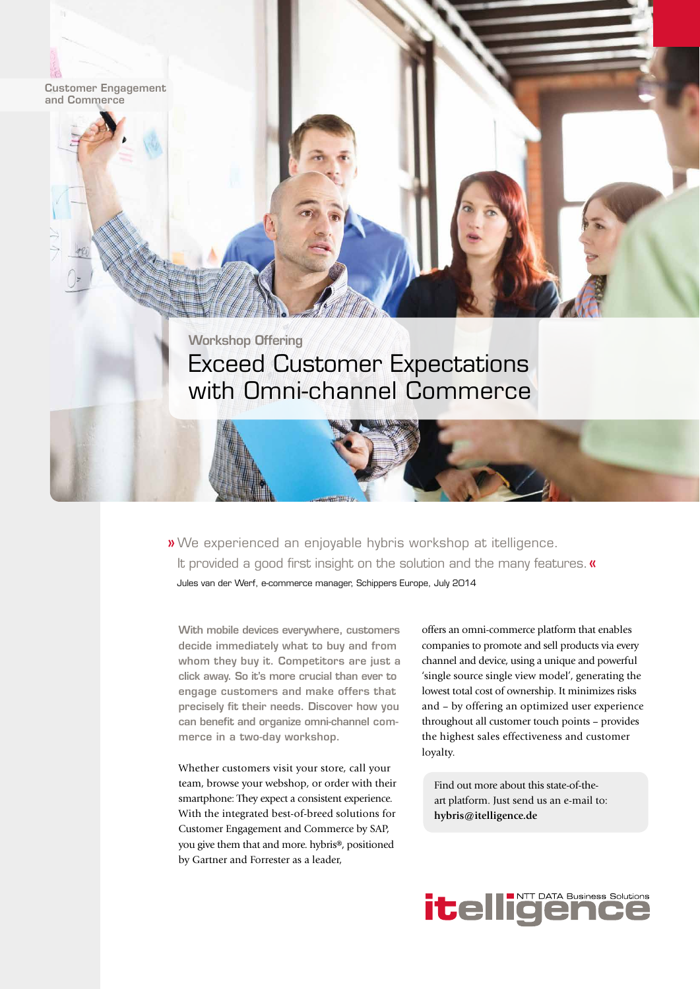

» We experienced an enjoyable hybris workshop at itelligence. It provided a good first insight on the solution and the many features. Jules van der Werf, e-commerce manager, Schippers Europe, July 2014

With mobile devices everywhere, customers decide immediately what to buy and from whom they buy it. Competitors are just a click away. So it's more crucial than ever to engage customers and make offers that precisely fit their needs. Discover how you can benefit and organize omni-channel commerce in a two-day workshop.

Whether customers visit your store, call your team, browse your webshop, or order with their smartphone: They expect a consistent experience. With the integrated best-of-breed solutions for Customer Engagement and Commerce by SAP, you give them that and more. hybris®, positioned by Gartner and Forrester as a leader,

offers an omni-commerce platform that enables companies to promote and sell products via every channel and device, using a unique and powerful 'single source single view model', generating the lowest total cost of ownership. It minimizes risks and – by offering an optimized user experience throughout all customer touch points – provides the highest sales effectiveness and customer loyalty.

Find out more about this state-of-theart platform. Just send us an e-mail to: **hybris@itelligence.de**